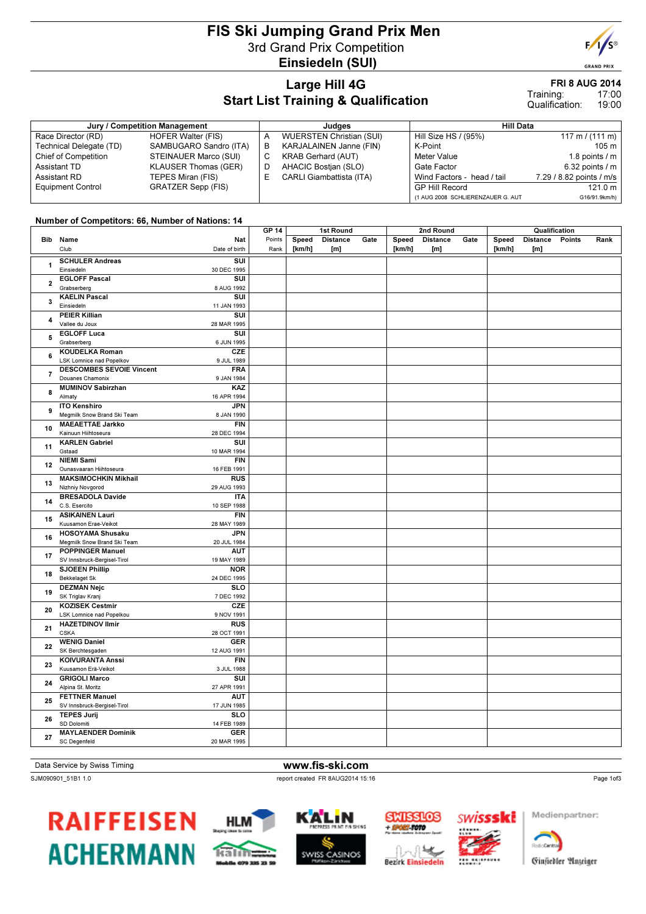## FIS Ski Jumping Grand Prix Men 3rd Grand Prix Competition Einsiedeln (SUI)

#### Large Hill 4G Start List Training & Qualification

| Jury / Competition Management |                           |    | Judaes                          | <b>Hill Data</b>                  |                                   |  |  |  |
|-------------------------------|---------------------------|----|---------------------------------|-----------------------------------|-----------------------------------|--|--|--|
| Race Director (RD)            | HOFER Walter (FIS)        | А  | <b>WUERSTEN Christian (SUI)</b> | Hill Size HS / (95%)              | $117 \text{ m} / (111 \text{ m})$ |  |  |  |
| Technical Delegate (TD)       | SAMBUGARO Sandro (ITA)    | В  | KARJALAINEN Janne (FIN)         | K-Point                           | 105 m                             |  |  |  |
| <b>Chief of Competition</b>   | STEINAUER Marco (SUI)     | C. | <b>KRAB Gerhard (AUT)</b>       | Meter Value                       | 1.8 points $/m$                   |  |  |  |
| Assistant TD                  | KLAUSER Thomas (GER)      | D  | AHACIC Bostian (SLO)            | Gate Factor                       | $6.32$ points $/ m$               |  |  |  |
| Assistant RD                  | TEPES Miran (FIS)         | ь. | <b>CARLI Giambattista (ITA)</b> | Wind Factors - head / tail        | 7.29 / 8.82 points / m/s          |  |  |  |
| <b>Equipment Control</b>      | <b>GRATZER Sepp (FIS)</b> |    |                                 | GP Hill Record                    | 121.0 m                           |  |  |  |
|                               |                           |    |                                 | (1 AUG 2008 SCHLIERENZAUER G. AUT | G16/91.9km/h)                     |  |  |  |

#### Number of Competitors: 66, Number of Nations: 14

|                         |                                                                                     | <b>GP 14</b>   | 1st Round       |                        |      |                 | 2nd Round              |      | Qualification   |                        |        |      |
|-------------------------|-------------------------------------------------------------------------------------|----------------|-----------------|------------------------|------|-----------------|------------------------|------|-----------------|------------------------|--------|------|
|                         | Bib Name<br>Nat<br>Club<br>Date of birth                                            | Points<br>Rank | Speed<br>[km/h] | <b>Distance</b><br>[m] | Gate | Speed<br>[km/h] | <b>Distance</b><br>[m] | Gate | Speed<br>[km/h] | <b>Distance</b><br>[m] | Points | Rank |
| 1                       | <b>SCHULER Andreas</b><br>SUI<br>Einsiedeln<br>30 DEC 1995                          |                |                 |                        |      |                 |                        |      |                 |                        |        |      |
| $\overline{\mathbf{2}}$ | <b>EGLOFF Pascal</b><br>$\overline{\text{su}}$<br>Grabserberg<br>8 AUG 1992         |                |                 |                        |      |                 |                        |      |                 |                        |        |      |
| 3                       | <b>KAELIN Pascal</b><br>SUI<br>Einsiedeln<br>11 JAN 1993                            |                |                 |                        |      |                 |                        |      |                 |                        |        |      |
| $\overline{\mathbf{4}}$ | <b>PEIER Killian</b><br>SUI<br>Vallee du Joux<br>28 MAR 1995                        |                |                 |                        |      |                 |                        |      |                 |                        |        |      |
| 5                       | <b>EGLOFF Luca</b><br>$\overline{\text{su}}$<br>Grabserberg<br>6 JUN 1995           |                |                 |                        |      |                 |                        |      |                 |                        |        |      |
| 6                       | <b>KOUDELKA Roman</b><br>CZE<br><b>LSK Lomnice nad Popelkov</b><br>9 JUL 1989       |                |                 |                        |      |                 |                        |      |                 |                        |        |      |
| $\overline{7}$          | <b>DESCOMBES SEVOIE Vincent</b><br><b>FRA</b><br>Douanes Chamonix<br>9 JAN 1984     |                |                 |                        |      |                 |                        |      |                 |                        |        |      |
| 8                       | <b>MUMINOV Sabirzhan</b><br>KAZ<br>16 APR 1994<br>Almaty                            |                |                 |                        |      |                 |                        |      |                 |                        |        |      |
| 9                       | <b>ITO Kenshiro</b><br><b>JPN</b><br>Megmilk Snow Brand Ski Team<br>8 JAN 1990      |                |                 |                        |      |                 |                        |      |                 |                        |        |      |
| 10                      | <b>MAEAETTAE Jarkko</b><br><b>FIN</b><br>Kainuun Hiihtoseura<br>28 DEC 1994         |                |                 |                        |      |                 |                        |      |                 |                        |        |      |
| 11                      | <b>KARLEN Gabriel</b><br>SUI<br>Gstaad<br>10 MAR 1994                               |                |                 |                        |      |                 |                        |      |                 |                        |        |      |
| 12                      | FIN<br><b>NIEMI Sami</b><br>Ounasvaaran Hiihtoseura<br>16 FEB 1991                  |                |                 |                        |      |                 |                        |      |                 |                        |        |      |
| 13                      | <b>MAKSIMOCHKIN Mikhail</b><br><b>RUS</b><br>Nizhniy Novgorod<br>29 AUG 1993        |                |                 |                        |      |                 |                        |      |                 |                        |        |      |
| 14                      | <b>BRESADOLA Davide</b><br><b>ITA</b><br>C.S. Esercito<br>10 SEP 1988               |                |                 |                        |      |                 |                        |      |                 |                        |        |      |
| 15                      | FIN<br><b>ASIKAINEN Lauri</b><br>Kuusamon Erae-Veikot<br>28 MAY 1989                |                |                 |                        |      |                 |                        |      |                 |                        |        |      |
| 16                      | <b>HOSOYAMA Shusaku</b><br>JPN<br>Megmilk Snow Brand Ski Team<br>20 JUL 1984        |                |                 |                        |      |                 |                        |      |                 |                        |        |      |
| 17                      | <b>POPPINGER Manuel</b><br><b>AUT</b><br>SV Innsbruck-Bergisel-Tirol<br>19 MAY 1989 |                |                 |                        |      |                 |                        |      |                 |                        |        |      |
| 18                      | <b>SJOEEN Phillip</b><br><b>NOR</b><br><b>Bekkelaget Sk</b><br>24 DEC 1995          |                |                 |                        |      |                 |                        |      |                 |                        |        |      |
| 19                      | <b>DEZMAN Nejc</b><br><b>SLO</b><br>SK Triglav Kranj<br>7 DEC 1992                  |                |                 |                        |      |                 |                        |      |                 |                        |        |      |
| 20                      | CZE<br><b>KOZISEK Cestmir</b><br>LSK Lomnice nad Popelkou<br>9 NOV 1991             |                |                 |                        |      |                 |                        |      |                 |                        |        |      |
| 21                      | <b>HAZETDINOV Ilmir</b><br>RUS<br><b>CSKA</b><br>28 OCT 1991                        |                |                 |                        |      |                 |                        |      |                 |                        |        |      |
| 22                      | <b>WENIG Daniel</b><br>GER<br>SK Berchtesgaden<br>12 AUG 1991                       |                |                 |                        |      |                 |                        |      |                 |                        |        |      |
| 23                      | <b>KOIVURANTA Anssi</b><br><b>FIN</b><br>Kuusamon Erä-Veikot<br>3 JUL 1988          |                |                 |                        |      |                 |                        |      |                 |                        |        |      |
| 24                      | <b>GRIGOLI Marco</b><br>$\overline{\text{su}}$<br>Alpina St. Moritz<br>27 APR 1991  |                |                 |                        |      |                 |                        |      |                 |                        |        |      |
| 25                      | <b>FETTNER Manuel</b><br><b>AUT</b><br>SV Innsbruck-Bergisel-Tirol<br>17 JUN 1985   |                |                 |                        |      |                 |                        |      |                 |                        |        |      |
| 26                      | <b>TEPES Jurij</b><br>SLO<br>SD Dolomiti<br>14 FEB 1989                             |                |                 |                        |      |                 |                        |      |                 |                        |        |      |
| 27                      | <b>GER</b><br><b>MAYLAENDER Dominik</b><br><b>SC Degenfeld</b><br>20 MAR 1995       |                |                 |                        |      |                 |                        |      |                 |                        |        |      |
|                         |                                                                                     |                |                 |                        |      |                 |                        |      |                 |                        |        |      |

#### Data Service by Swiss Timing WWW.fis-ski.com

SJM090901\_51B1 1.0 report created FR 8AUG2014 15:16













Medienpartner:

Page 1of3

Ginfiedler Anzeiger



GRAND PRI

FRI 8 AUG 2014

17:00 19:00 Training: Qualification: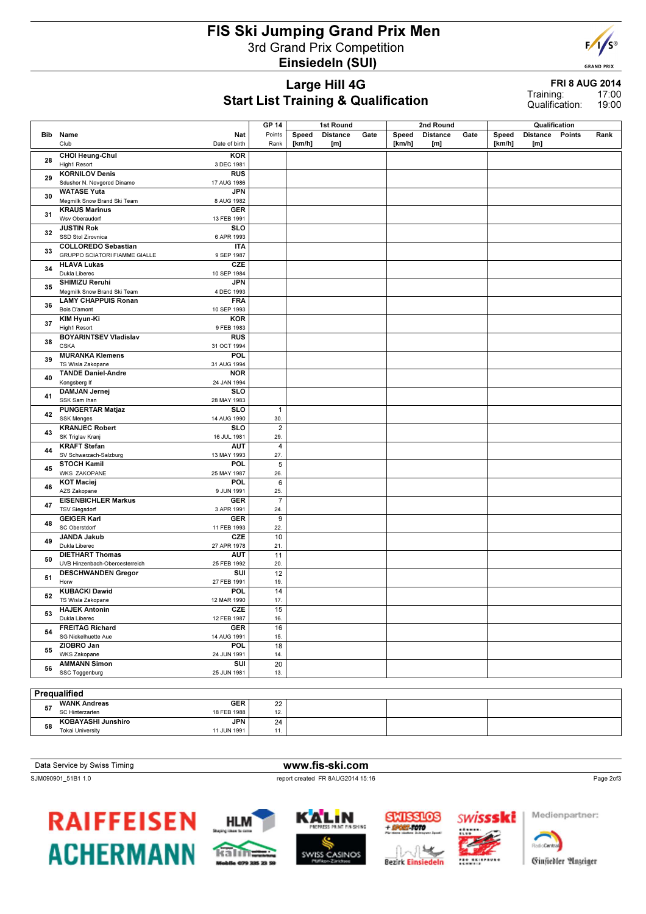#### FIS Ski Jumping Grand Prix Men 3rd Grand Prix Competition Einsiedeln (SUI)



#### Large Hill 4G Start List Training & Qualification

FRI 8 AUG 2014 17:00 Training:

19:00 Qualification:

|    |                                                             | <b>GP 14</b>   | 1st Round |                 |      | 2nd Round |                 | Qualification |        |                 |        |      |
|----|-------------------------------------------------------------|----------------|-----------|-----------------|------|-----------|-----------------|---------------|--------|-----------------|--------|------|
|    | Bib Name<br>Nat                                             | Points         | Speed     | <b>Distance</b> | Gate | Speed     | <b>Distance</b> | Gate          | Speed  | <b>Distance</b> | Points | Rank |
|    | Club<br>Date of birth                                       | Rank           | [km/h]    | [m]             |      | [km/h]    | [m]             |               | [km/h] | [m]             |        |      |
|    |                                                             |                |           |                 |      |           |                 |               |        |                 |        |      |
| 28 | CHOI Heung-Chul<br><b>KOR</b><br>High1 Resort<br>3 DEC 1981 |                |           |                 |      |           |                 |               |        |                 |        |      |
|    | <b>KORNILOV Denis</b><br><b>RUS</b>                         |                |           |                 |      |           |                 |               |        |                 |        |      |
| 29 | Sdushor N. Novgorod Dinamo<br>17 AUG 1986                   |                |           |                 |      |           |                 |               |        |                 |        |      |
|    | <b>WATASE Yuta</b><br><b>JPN</b>                            |                |           |                 |      |           |                 |               |        |                 |        |      |
| 30 | Megmilk Snow Brand Ski Team<br>8 AUG 1982                   |                |           |                 |      |           |                 |               |        |                 |        |      |
|    | <b>KRAUS Marinus</b><br><b>GER</b>                          |                |           |                 |      |           |                 |               |        |                 |        |      |
| 31 | Wsv Oberaudorf<br>13 FEB 1991                               |                |           |                 |      |           |                 |               |        |                 |        |      |
|    | <b>JUSTIN Rok</b><br><b>SLO</b>                             |                |           |                 |      |           |                 |               |        |                 |        |      |
| 32 | SSD Stol Zirovnica<br>6 APR 1993                            |                |           |                 |      |           |                 |               |        |                 |        |      |
|    | <b>COLLOREDO Sebastian</b><br><b>ITA</b>                    |                |           |                 |      |           |                 |               |        |                 |        |      |
| 33 | GRUPPO SCIATORI FIAMME GIALLE<br>9 SEP 1987                 |                |           |                 |      |           |                 |               |        |                 |        |      |
|    | <b>HLAVA Lukas</b><br>CZE                                   |                |           |                 |      |           |                 |               |        |                 |        |      |
| 34 | Dukla Liberec<br>10 SEP 1984                                |                |           |                 |      |           |                 |               |        |                 |        |      |
|    | SHIMIZU Reruhi<br><b>JPN</b>                                |                |           |                 |      |           |                 |               |        |                 |        |      |
| 35 | Megmilk Snow Brand Ski Team<br>4 DEC 1993                   |                |           |                 |      |           |                 |               |        |                 |        |      |
|    | <b>LAMY CHAPPUIS Ronan</b><br><b>FRA</b>                    |                |           |                 |      |           |                 |               |        |                 |        |      |
| 36 | Bois D'amont<br>10 SEP 1993                                 |                |           |                 |      |           |                 |               |        |                 |        |      |
|    | <b>KOR</b><br>KIM Hyun-Ki                                   |                |           |                 |      |           |                 |               |        |                 |        |      |
| 37 | High1 Resort<br>9 FEB 1983                                  |                |           |                 |      |           |                 |               |        |                 |        |      |
| 38 | <b>BOYARINTSEV Vladislav</b><br><b>RUS</b>                  |                |           |                 |      |           |                 |               |        |                 |        |      |
|    | <b>CSKA</b><br>31 OCT 1994                                  |                |           |                 |      |           |                 |               |        |                 |        |      |
| 39 | <b>MURANKA Klemens</b><br>POL                               |                |           |                 |      |           |                 |               |        |                 |        |      |
|    | TS Wisla Zakopane<br>31 AUG 1994                            |                |           |                 |      |           |                 |               |        |                 |        |      |
| 40 | <b>TANDE Daniel-Andre</b><br><b>NOR</b>                     |                |           |                 |      |           |                 |               |        |                 |        |      |
|    | Kongsberg If<br>24 JAN 1994                                 |                |           |                 |      |           |                 |               |        |                 |        |      |
| 41 | <b>DAMJAN Jernej</b><br><b>SLO</b>                          |                |           |                 |      |           |                 |               |        |                 |        |      |
|    | SSK Sam Ihan<br>28 MAY 1983                                 |                |           |                 |      |           |                 |               |        |                 |        |      |
| 42 | <b>PUNGERTAR Matjaz</b><br><b>SLO</b>                       | $\mathbf{1}$   |           |                 |      |           |                 |               |        |                 |        |      |
| 43 | <b>SSK Menges</b><br>14 AUG 1990                            | 30.            |           |                 |      |           |                 |               |        |                 |        |      |
|    | <b>KRANJEC Robert</b><br><b>SLO</b>                         | $\sqrt{2}$     |           |                 |      |           |                 |               |        |                 |        |      |
|    | SK Triglav Kranj<br>16 JUL 1981                             | 29.            |           |                 |      |           |                 |               |        |                 |        |      |
| 44 | <b>KRAFT Stefan</b><br><b>AUT</b>                           | $\overline{4}$ |           |                 |      |           |                 |               |        |                 |        |      |
|    | SV Schwarzach-Salzburg<br>13 MAY 1993                       | 27.            |           |                 |      |           |                 |               |        |                 |        |      |
| 45 | POL.<br><b>STOCH Kamil</b><br><b>WKS ZAKOPANE</b>           | 5              |           |                 |      |           |                 |               |        |                 |        |      |
|    | 25 MAY 1987<br>POL.<br><b>KOT Maciej</b>                    | 26.<br>6       |           |                 |      |           |                 |               |        |                 |        |      |
| 46 | AZS Zakopane<br>9 JUN 1991                                  | 25.            |           |                 |      |           |                 |               |        |                 |        |      |
|    | <b>EISENBICHLER Markus</b><br><b>GER</b>                    | $\overline{7}$ |           |                 |      |           |                 |               |        |                 |        |      |
| 47 | <b>TSV Siegsdorf</b><br>3 APR 1991                          | 24.            |           |                 |      |           |                 |               |        |                 |        |      |
|    | <b>GEIGER Karl</b><br><b>GER</b>                            | 9              |           |                 |      |           |                 |               |        |                 |        |      |
| 48 | SC Oberstdorf<br>11 FEB 1993                                | 22.            |           |                 |      |           |                 |               |        |                 |        |      |
|    | CZE<br><b>JANDA Jakub</b>                                   | 10             |           |                 |      |           |                 |               |        |                 |        |      |
| 49 | Dukla Liberec<br>27 APR 1978                                | 21.            |           |                 |      |           |                 |               |        |                 |        |      |
|    | <b>DIETHART Thomas</b><br><b>AUT</b>                        | 11             |           |                 |      |           |                 |               |        |                 |        |      |
| 50 | UVB Hinzenbach-Oberoesterreich<br>25 FEB 1992               | 20.            |           |                 |      |           |                 |               |        |                 |        |      |
|    | SUI<br><b>DESCHWANDEN Gregor</b>                            | 12             |           |                 |      |           |                 |               |        |                 |        |      |
| 51 | Horw<br>27 FEB 1991                                         | 19.            |           |                 |      |           |                 |               |        |                 |        |      |
| 52 | <b>KUBACKI Dawid</b><br>POL                                 | 14             |           |                 |      |           |                 |               |        |                 |        |      |
|    | TS Wisla Zakopane<br>12 MAR 1990                            | 17.            |           |                 |      |           |                 |               |        |                 |        |      |
| 53 | <b>HAJEK Antonin</b><br>CZE                                 | 15             |           |                 |      |           |                 |               |        |                 |        |      |
|    | Dukla Liberec<br>12 FEB 1987                                | 16.            |           |                 |      |           |                 |               |        |                 |        |      |
| 54 | <b>FREITAG Richard</b><br><b>GER</b>                        | 16             |           |                 |      |           |                 |               |        |                 |        |      |
|    | SG Nickelhuette Aue<br>14 AUG 1991                          | 15.            |           |                 |      |           |                 |               |        |                 |        |      |
| 55 | ZIOBRO Jan<br><b>POL</b>                                    | 18             |           |                 |      |           |                 |               |        |                 |        |      |
|    | WKS Zakopane<br>24 JUN 1991                                 | 14.            |           |                 |      |           |                 |               |        |                 |        |      |
| 56 | <b>AMMANN Simon</b><br>SUI                                  | 20             |           |                 |      |           |                 |               |        |                 |        |      |
|    | SSC Toggenburg<br>25 JUN 1981                               | 13.            |           |                 |      |           |                 |               |        |                 |        |      |
|    |                                                             |                |           |                 |      |           |                 |               |        |                 |        |      |
|    | Prequalified                                                |                |           |                 |      |           |                 |               |        |                 |        |      |
| 57 | <b>WANK Andreas</b><br><b>GER</b>                           | 22             |           |                 |      |           |                 |               |        |                 |        |      |
|    | SC Hinterzarten<br>18 FEB 1988                              | 12.            |           |                 |      |           |                 |               |        |                 |        |      |
| 58 | KOBAYASHI Junshiro<br><b>JPN</b>                            | 24             |           |                 |      |           |                 |               |        |                 |        |      |
|    | <b>Tokai University</b><br>11 JUN 1991                      | 11.            |           |                 |      |           |                 |               |        |                 |        |      |

Data Service by Swiss Timing WWW.fis-ski.com

SJM090901\_51B1 1.0 report created FR 8AUG2014 15:16













**Radio Cantos**